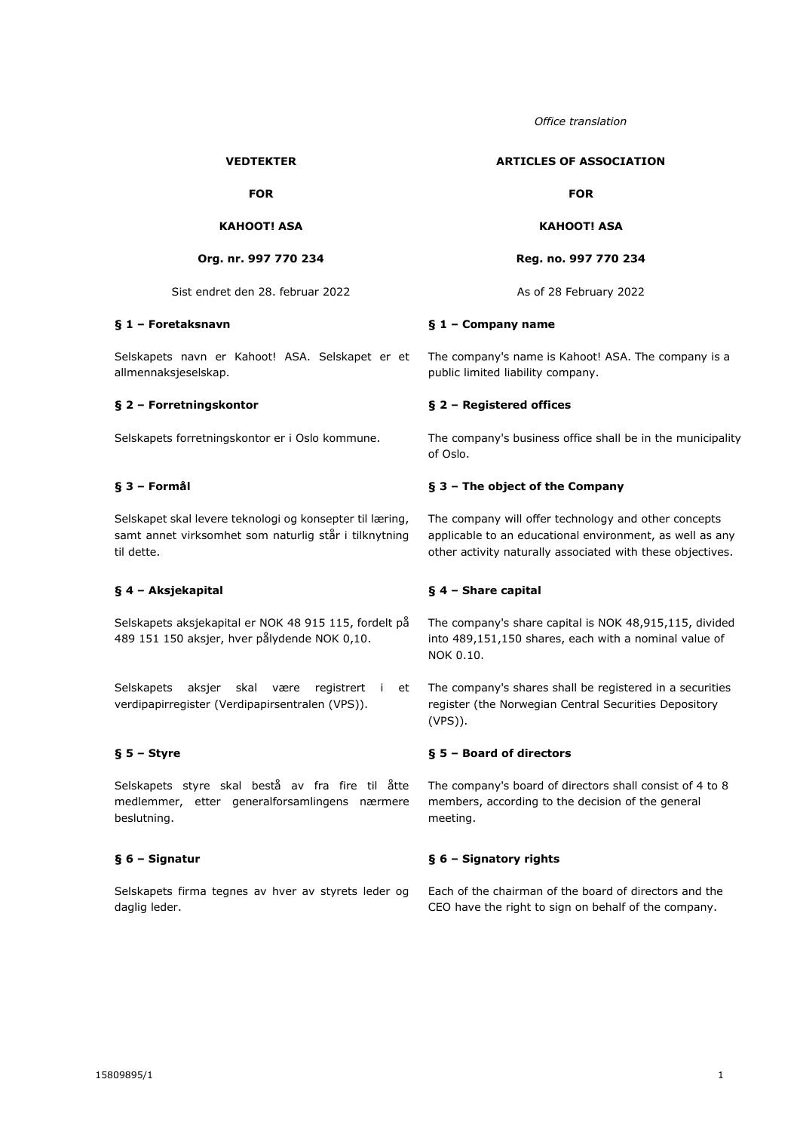*Office translation*

#### **VEDTEKTER**

**FOR**

# **KAHOOT! ASA**

#### **Org. nr. 997 770 234**

Sist endret den 28. februar 2022 As of 28 February 2022

## **§ 1 – Foretaksnavn**

Selskapets navn er Kahoot! ASA. Selskapet er et allmennaksjeselskap.

## **§ 2 – Forretningskontor**

Selskapets forretningskontor er i Oslo kommune.

## **§ 3 – Formål**

Selskapet skal levere teknologi og konsepter til læring, samt annet virksomhet som naturlig står i tilknytning til dette.

#### **§ 4 – Aksjekapital**

Selskapets aksjekapital er NOK 48 915 115, fordelt på 489 151 150 aksjer, hver pålydende NOK 0,10.

Selskapets aksjer skal være registrert i et verdipapirregister (Verdipapirsentralen (VPS)).

### **§ 5 – Styre**

Selskapets styre skal bestå av fra fire til åtte medlemmer, etter generalforsamlingens nærmere beslutning.

### **§ 6 – Signatur**

Selskapets firma tegnes av hver av styrets leder og daglig leder.

**ARTICLES OF ASSOCIATION**

#### **FOR**

**KAHOOT! ASA**

**Reg. no. 997 770 234**

### **§ 1 – Company name**

The company's name is Kahoot! ASA. The company is a public limited liability company.

## **§ 2 – Registered offices**

The company's business office shall be in the municipality of Oslo.

## **§ 3 – The object of the Company**

The company will offer technology and other concepts applicable to an educational environment, as well as any other activity naturally associated with these objectives.

### **§ 4 – Share capital**

The company's share capital is NOK 48,915,115, divided into 489,151,150 shares, each with a nominal value of NOK 0.10.

The company's shares shall be registered in a securities register (the Norwegian Central Securities Depository (VPS)).

#### **§ 5 – Board of directors**

The company's board of directors shall consist of 4 to 8 members, according to the decision of the general meeting.

### **§ 6 – Signatory rights**

Each of the chairman of the board of directors and the CEO have the right to sign on behalf of the company.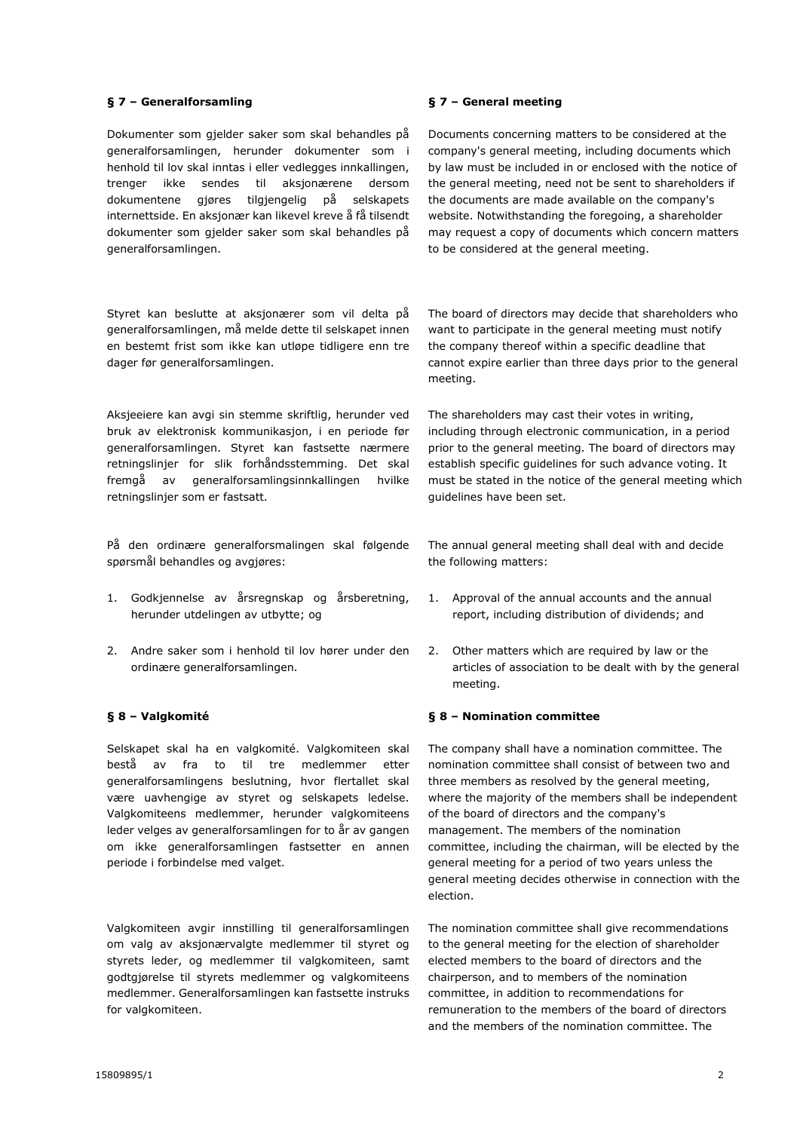## **§ 7 – Generalforsamling**

Dokumenter som gjelder saker som skal behandles på generalforsamlingen, herunder dokumenter som i henhold til lov skal inntas i eller vedlegges innkallingen, trenger ikke sendes til aksjonærene dersom dokumentene gjøres tilgjengelig på selskapets internettside. En aksjonær kan likevel kreve å få tilsendt dokumenter som gjelder saker som skal behandles på generalforsamlingen.

Styret kan beslutte at aksjonærer som vil delta på generalforsamlingen, må melde dette til selskapet innen en bestemt frist som ikke kan utløpe tidligere enn tre dager før generalforsamlingen.

Aksjeeiere kan avgi sin stemme skriftlig, herunder ved bruk av elektronisk kommunikasjon, i en periode før generalforsamlingen. Styret kan fastsette nærmere retningslinjer for slik forhåndsstemming. Det skal fremgå av generalforsamlingsinnkallingen hvilke retningslinjer som er fastsatt.

På den ordinære generalforsmalingen skal følgende spørsmål behandles og avgjøres:

- 1. Godkjennelse av årsregnskap og årsberetning, herunder utdelingen av utbytte; og
- 2. Andre saker som i henhold til lov hører under den ordinære generalforsamlingen.

## **§ 8 – Valgkomité**

Selskapet skal ha en valgkomité. Valgkomiteen skal bestå av fra to til tre medlemmer etter generalforsamlingens beslutning, hvor flertallet skal være uavhengige av styret og selskapets ledelse. Valgkomiteens medlemmer, herunder valgkomiteens leder velges av generalforsamlingen for to år av gangen om ikke generalforsamlingen fastsetter en annen periode i forbindelse med valget.

Valgkomiteen avgir innstilling til generalforsamlingen om valg av aksjonærvalgte medlemmer til styret og styrets leder, og medlemmer til valgkomiteen, samt godtgjørelse til styrets medlemmer og valgkomiteens medlemmer. Generalforsamlingen kan fastsette instruks for valgkomiteen.

# **§ 7 – General meeting**

Documents concerning matters to be considered at the company's general meeting, including documents which by law must be included in or enclosed with the notice of the general meeting, need not be sent to shareholders if the documents are made available on the company's website. Notwithstanding the foregoing, a shareholder may request a copy of documents which concern matters to be considered at the general meeting.

The board of directors may decide that shareholders who want to participate in the general meeting must notify the company thereof within a specific deadline that cannot expire earlier than three days prior to the general meeting.

The shareholders may cast their votes in writing, including through electronic communication, in a period prior to the general meeting. The board of directors may establish specific guidelines for such advance voting. It must be stated in the notice of the general meeting which guidelines have been set.

The annual general meeting shall deal with and decide the following matters:

- 1. Approval of the annual accounts and the annual report, including distribution of dividends; and
- 2. Other matters which are required by law or the articles of association to be dealt with by the general meeting.

## **§ 8 – Nomination committee**

The company shall have a nomination committee. The nomination committee shall consist of between two and three members as resolved by the general meeting, where the majority of the members shall be independent of the board of directors and the company's management. The members of the nomination committee, including the chairman, will be elected by the general meeting for a period of two years unless the general meeting decides otherwise in connection with the election.

The nomination committee shall give recommendations to the general meeting for the election of shareholder elected members to the board of directors and the chairperson, and to members of the nomination committee, in addition to recommendations for remuneration to the members of the board of directors and the members of the nomination committee. The